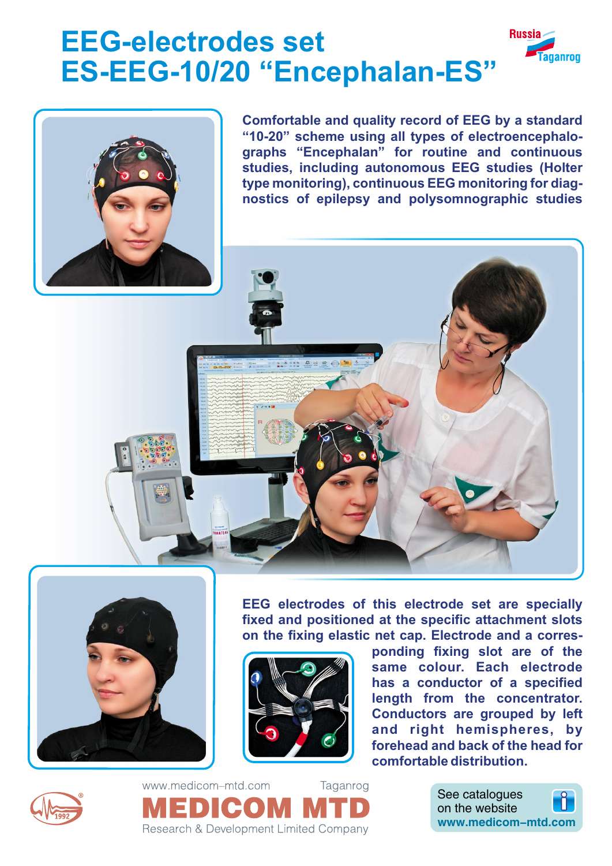# **EEG-electrodes set ES-EEG-10/20 "Encephalan-ES"**



**Comfortable and quality record of EEG by a standard "10-20" scheme using all types of electroencephalographs "Encephalan" for routine and continuous studies, including autonomous EEG studies (Holter type monitoring), continuous EEG monitoring for diagnostics of epilepsy and polysomnographic studies**

**Russia** 

aganrog



**EEG electrodes of this electrode set are specially fixed and positioned at the specific attachment slots on the fixing elastic net cap. Electrode and a corres-**



**ponding fixing slot are of the same colour. Each electrode has a conductor of a specified length from the concentrator. Conductors are grouped by left and right hemispheres, by forehead and back of the head for comfortable distribution.**